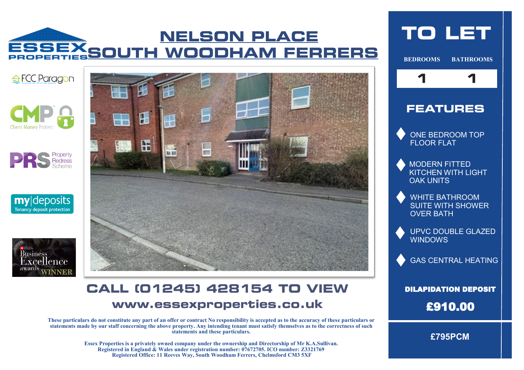# **NELSON PLACE** ESSEXSOUTH WOODHAM FERRERS













### **CALL (01245) 428154 TO VIEW** www.essexproperties.co.uk

**These particulars do not constitute any part of an offer or contract No responsibility is accepted as to the accuracy of these particulars or statements made by our staff concerning the above property. Any intending tenant must satisfy themselves as to the correctness of such statements and these particulars.** 

> **Essex Properties is a privately owned company under the ownership and Directorship of Mr K.A.Sullivan. Registered in England & Wales under registration number: 07672705. ICO number: Z3321769 Registered Office: 11 Reeves Way, South Woodham Ferrers, Chelmsford CM3 5XF**

# **TO LET**

**BEDROOMS BATHROOMS**



#### **FEATURES**

ONE BEDROOM TOP FLOOR FLAT

MODERN FITTED KITCHEN WITH LIGHT OAK UNITS

WHITE BATHROOM SUITE WITH SHOWER OVER BATH

UPVC DOUBLE GLAZED WINDOWS

GAS CENTRAL HEATING

DILAPIDATION DEPOSIT £910.00

**£795PCM**